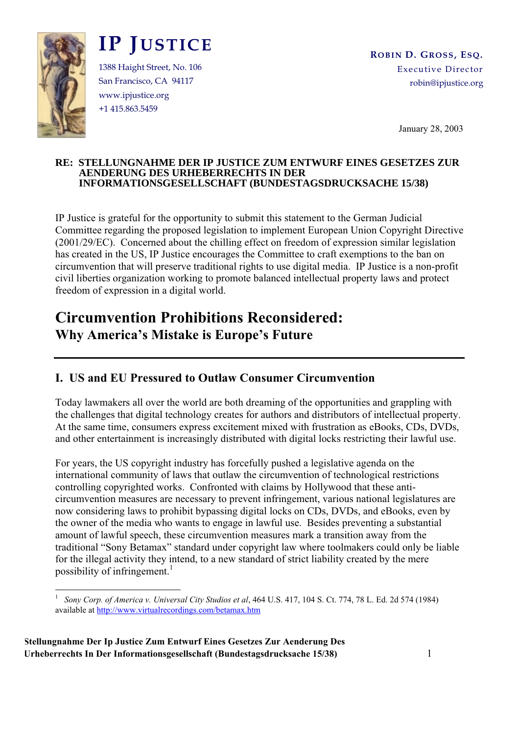

# **IP JUSTICE**

1388 Haight Street, No. 106 San Francisco, CA 94117 www.ipjustice.org +1 415.863.5459

January 28, 2003

#### **RE: STELLUNGNAHME DER IP JUSTICE ZUM ENTWURF EINES GESETZES ZUR AENDERUNG DES URHEBERRECHTS IN DER INFORMATIONSGESELLSCHAFT (BUNDESTAGSDRUCKSACHE 15/38)**

IP Justice is grateful for the opportunity to submit this statement to the German Judicial Committee regarding the proposed legislation to implement European Union Copyright Directive (2001/29/EC). Concerned about the chilling effect on freedom of expression similar legislation has created in the US, IP Justice encourages the Committee to craft exemptions to the ban on circumvention that will preserve traditional rights to use digital media. IP Justice is a non-profit civil liberties organization working to promote balanced intellectual property laws and protect freedom of expression in a digital world.

# **Circumvention Prohibitions Reconsidered: Why America's Mistake is Europe's Future**

### **I. US and EU Pressured to Outlaw Consumer Circumvention**

Today lawmakers all over the world are both dreaming of the opportunities and grappling with the challenges that digital technology creates for authors and distributors of intellectual property. At the same time, consumers express excitement mixed with frustration as eBooks, CDs, DVDs, and other entertainment is increasingly distributed with digital locks restricting their lawful use.

For years, the US copyright industry has forcefully pushed a legislative agenda on the international community of laws that outlaw the circumvention of technological restrictions controlling copyrighted works. Confronted with claims by Hollywood that these anticircumvention measures are necessary to prevent infringement, various national legislatures are now considering laws to prohibit bypassing digital locks on CDs, DVDs, and eBooks, even by the owner of the media who wants to engage in lawful use. Besides preventing a substantial amount of lawful speech, these circumvention measures mark a transition away from the traditional "Sony Betamax" standard under copyright law where toolmakers could only be liable for the illegal activity they intend, to a new standard of strict liability created by the mere possibility of infringement.<sup>1</sup>

 $\frac{1}{1}$  *Sony Corp. of America v. Universal City Studios et al*, 464 U.S. 417, 104 S. Ct. 774, 78 L. Ed. 2d 574 (1984) available at http://www.virtualrecordings.com/betamax.htm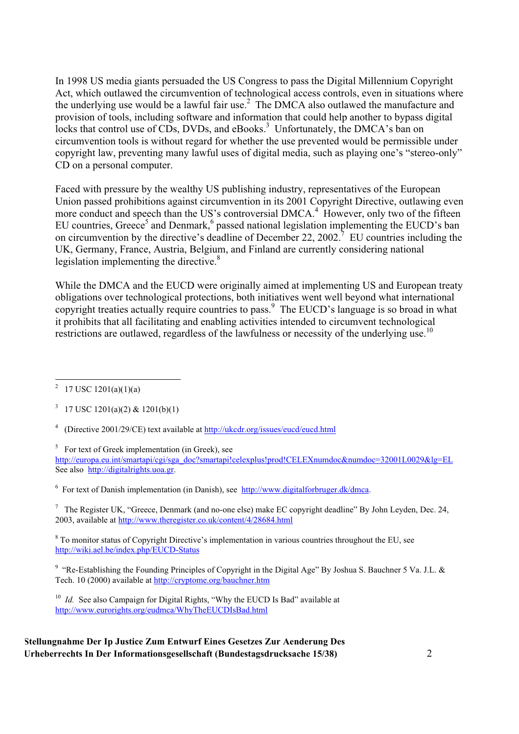In 1998 US media giants persuaded the US Congress to pass the Digital Millennium Copyright Act, which outlawed the circumvention of technological access controls, even in situations where the underlying use would be a lawful fair use.<sup>2</sup> The DMCA also outlawed the manufacture and provision of tools, including software and information that could help another to bypass digital locks that control use of CDs, DVDs, and eBooks.<sup>3</sup> Unfortunately, the DMCA's ban on circumvention tools is without regard for whether the use prevented would be permissible under copyright law, preventing many lawful uses of digital media, such as playing one's "stereo-only" CD on a personal computer.

Faced with pressure by the wealthy US publishing industry, representatives of the European Union passed prohibitions against circumvention in its 2001 Copyright Directive, outlawing even more conduct and speech than the US's controversial DMCA.<sup>4</sup> However, only two of the fifteen EU countries, Greece<sup>5</sup> and Denmark,<sup>6</sup> passed national legislation implementing the EUCD's ban on circumvention by the directive's deadline of December 22, 2002.<sup>7</sup> EU countries including the UK, Germany, France, Austria, Belgium, and Finland are currently considering national legislation implementing the directive. $\delta$ 

While the DMCA and the EUCD were originally aimed at implementing US and European treaty obligations over technological protections, both initiatives went well beyond what international copyright treaties actually require countries to pass.<sup>9</sup> The EUCD's language is so broad in what it prohibits that all facilitating and enabling activities intended to circumvent technological restrictions are outlawed, regardless of the lawfulness or necessity of the underlying use.<sup>10</sup>

 $\frac{1}{2}$ <sup>2</sup> 17 USC 1201(a)(1)(a)

<sup>4</sup> (Directive 2001/29/CE) text available at http://ukcdr.org/issues/eucd/eucd.html

<sup>5</sup> For text of Greek implementation (in Greek), see

http://europa.eu.int/smartapi/cgi/sga\_doc?smartapi!celexplus!prod!CELEXnumdoc&numdoc=32001L0029&lg=EL See also http://digitalrights.uoa.gr.

<sup>6</sup> For text of Danish implementation (in Danish), see http://www.digitalforbruger.dk/dmca.

<sup>7</sup> The Register UK, "Greece, Denmark (and no-one else) make EC copyright deadline" By John Leyden, Dec. 24, 2003, available at http://www.theregister.co.uk/content/4/28684.html

<sup>8</sup> To monitor status of Copyright Directive's implementation in various countries throughout the EU, see http://wiki.ael.be/index.php/EUCD-Status

<sup>9</sup> "Re-Establishing the Founding Principles of Copyright in the Digital Age" By Joshua S. Bauchner 5 Va. J.L. & Tech. 10 (2000) available at http://cryptome.org/bauchner.htm

<sup>10</sup> *Id.* See also Campaign for Digital Rights, "Why the EUCD Is Bad" available at http://www.eurorights.org/eudmca/WhyTheEUCDIsBad.html

<sup>&</sup>lt;sup>3</sup> 17 USC 1201(a)(2) & 1201(b)(1)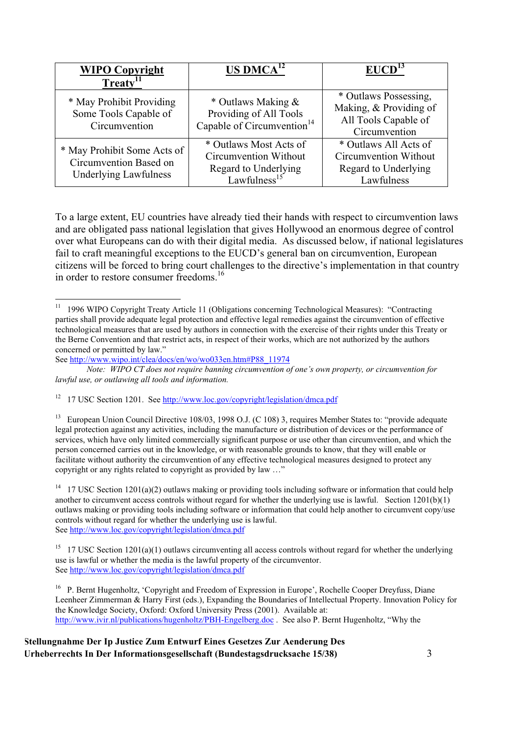| <b>WIPO Copyright</b>                                                                 | $US \, D M C A^{12}$                                                                                | EUCD <sup>13</sup>                                                                       |
|---------------------------------------------------------------------------------------|-----------------------------------------------------------------------------------------------------|------------------------------------------------------------------------------------------|
| Treaty <sup>11</sup>                                                                  |                                                                                                     |                                                                                          |
| * May Prohibit Providing<br>Some Tools Capable of<br>Circumvention                    | * Outlaws Making &<br>Providing of All Tools<br>Capable of Circumvention <sup>14</sup>              | * Outlaws Possessing,<br>Making, & Providing of<br>All Tools Capable of<br>Circumvention |
| * May Prohibit Some Acts of<br>Circumvention Based on<br><b>Underlying Lawfulness</b> | * Outlaws Most Acts of<br>Circumvention Without<br>Regard to Underlying<br>Lawfulness <sup>15</sup> | * Outlaws All Acts of<br>Circumvention Without<br>Regard to Underlying<br>Lawfulness     |

To a large extent, EU countries have already tied their hands with respect to circumvention laws and are obligated pass national legislation that gives Hollywood an enormous degree of control over what Europeans can do with their digital media. As discussed below, if national legislatures fail to craft meaningful exceptions to the EUCD's general ban on circumvention, European citizens will be forced to bring court challenges to the directive's implementation in that country in order to restore consumer freedoms.<sup>16</sup>

<sup>&</sup>lt;sup>11</sup> 1996 WIPO Copyright Treaty Article 11 (Obligations concerning Technological Measures): "Contracting parties shall provide adequate legal protection and effective legal remedies against the circumvention of effective technological measures that are used by authors in connection with the exercise of their rights under this Treaty or the Berne Convention and that restrict acts, in respect of their works, which are not authorized by the authors concerned or permitted by law."

See http://www.wipo.int/clea/docs/en/wo/wo033en.htm#P88\_11974

*Note: WIPO CT does not require banning circumvention of one's own property, or circumvention for lawful use, or outlawing all tools and information.*

<sup>&</sup>lt;sup>12</sup> 17 USC Section 1201. See http://www.loc.gov/copyright/legislation/dmca.pdf

<sup>&</sup>lt;sup>13</sup> European Union Council Directive 108/03, 1998 O.J. (C 108) 3, requires Member States to: "provide adequate legal protection against any activities, including the manufacture or distribution of devices or the performance of services, which have only limited commercially significant purpose or use other than circumvention, and which the person concerned carries out in the knowledge, or with reasonable grounds to know, that they will enable or facilitate without authority the circumvention of any effective technological measures designed to protect any copyright or any rights related to copyright as provided by law …"

<sup>&</sup>lt;sup>14</sup> 17 USC Section 1201(a)(2) outlaws making or providing tools including software or information that could help another to circumvent access controls without regard for whether the underlying use is lawful. Section 1201(b)(1) outlaws making or providing tools including software or information that could help another to circumvent copy/use controls without regard for whether the underlying use is lawful. See http://www.loc.gov/copyright/legislation/dmca.pdf

<sup>&</sup>lt;sup>15</sup> 17 USC Section 1201(a)(1) outlaws circumventing all access controls without regard for whether the underlying use is lawful or whether the media is the lawful property of the circumventor. See http://www.loc.gov/copyright/legislation/dmca.pdf

<sup>&</sup>lt;sup>16</sup> P. Bernt Hugenholtz, 'Copyright and Freedom of Expression in Europe', Rochelle Cooper Dreyfuss, Diane Leenheer Zimmerman & Harry First (eds.), Expanding the Boundaries of Intellectual Property. Innovation Policy for the Knowledge Society, Oxford: Oxford University Press (2001). Available at: http://www.ivir.nl/publications/hugenholtz/PBH-Engelberg.doc . See also P. Bernt Hugenholtz, "Why the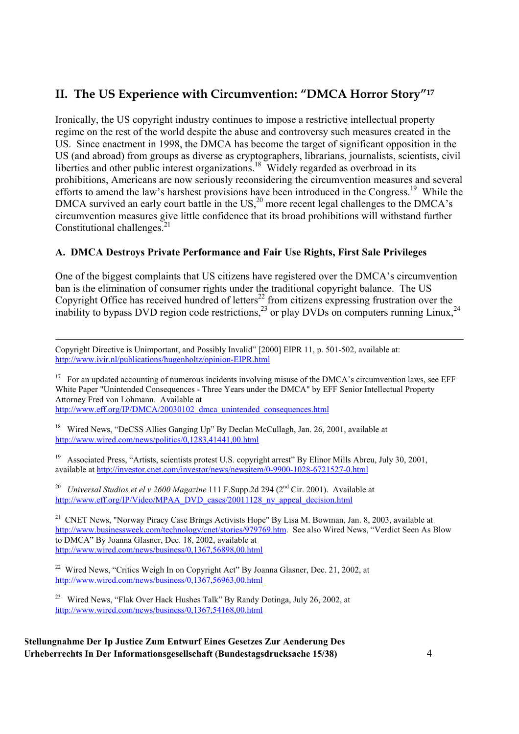# **II. The US Experience with Circumvention: "DMCA Horror Story"17**

Ironically, the US copyright industry continues to impose a restrictive intellectual property regime on the rest of the world despite the abuse and controversy such measures created in the US. Since enactment in 1998, the DMCA has become the target of significant opposition in the US (and abroad) from groups as diverse as cryptographers, librarians, journalists, scientists, civil liberties and other public interest organizations.<sup>18</sup> Widely regarded as overbroad in its prohibitions, Americans are now seriously reconsidering the circumvention measures and several efforts to amend the law's harshest provisions have been introduced in the Congress.<sup>19</sup> While the DMCA survived an early court battle in the US, $^{20}$  more recent legal challenges to the DMCA's circumvention measures give little confidence that its broad prohibitions will withstand further Constitutional challenges. $^{21}$ 

#### **A. DMCA Destroys Private Performance and Fair Use Rights, First Sale Privileges**

One of the biggest complaints that US citizens have registered over the DMCA's circumvention ban is the elimination of consumer rights under the traditional copyright balance. The US Copyright Office has received hundred of letters<sup>22</sup> from citizens expressing frustration over the inability to bypass DVD region code restrictions,  $^{23}$  or play DVDs on computers running Linux,  $^{24}$ 

 Copyright Directive is Unimportant, and Possibly Invalid" [2000] EIPR 11, p. 501-502, available at: http://www.ivir.nl/publications/hugenholtz/opinion-EIPR.html

<sup>17</sup> For an updated accounting of numerous incidents involving misuse of the DMCA's circumvention laws, see EFF White Paper "Unintended Consequences - Three Years under the DMCA" by EFF Senior Intellectual Property Attorney Fred von Lohmann. Available at http://www.eff.org/IP/DMCA/20030102\_dmca\_unintended\_consequences.html

<sup>18</sup> Wired News, "DeCSS Allies Ganging Up" By Declan McCullagh, Jan. 26, 2001, available at http://www.wired.com/news/politics/0,1283,41441,00.html

<sup>19</sup> Associated Press, "Artists, scientists protest U.S. copyright arrest" By Elinor Mills Abreu, July 30, 2001, available at http://investor.cnet.com/investor/news/newsitem/0-9900-1028-6721527-0.html

<sup>20</sup> *Universal Studios et el v 2600 Magazine* 111 F.Supp.2d 294 (2<sup>nd</sup> Cir. 2001). Available at http://www.eff.org/IP/Video/MPAA\_DVD\_cases/20011128\_ny\_appeal\_decision.html

<sup>21</sup> CNET News, "Norway Piracy Case Brings Activists Hope" By Lisa M. Bowman, Jan. 8, 2003, available at http://www.businessweek.com/technology/cnet/stories/979769.htm. See also Wired News, "Verdict Seen As Blow to DMCA" By Joanna Glasner, Dec. 18, 2002, available at http://www.wired.com/news/business/0,1367,56898,00.html

<sup>22</sup> Wired News, "Critics Weigh In on Copyright Act" By Joanna Glasner, Dec. 21, 2002, at http://www.wired.com/news/business/0,1367,56963,00.html

<sup>23</sup> Wired News, "Flak Over Hack Hushes Talk" By Randy Dotinga, July 26, 2002, at http://www.wired.com/news/business/0,1367,54168,00.html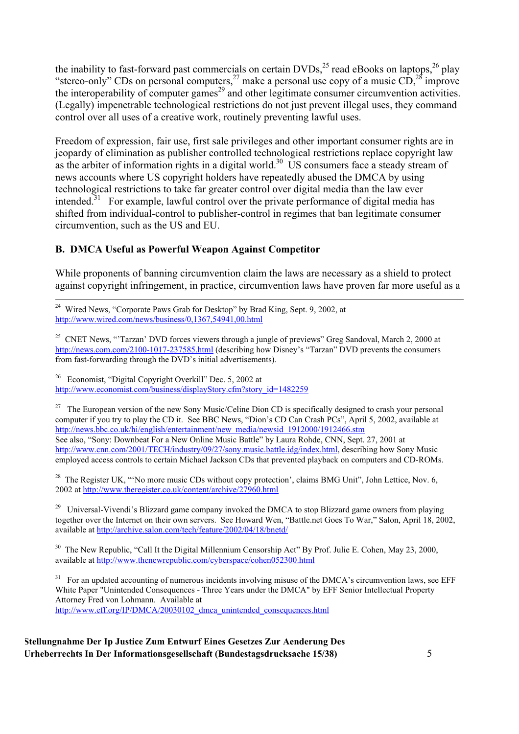the inability to fast-forward past commercials on certain  $\text{DVDs}^{25}$  read eBooks on laptops,  $^{26}$  play "stereo-only" CDs on personal computers,  $27$  make a personal use copy of a music CD,  $28$  improve the interoperability of computer games<sup>29</sup> and other legitimate consumer circumvention activities. (Legally) impenetrable technological restrictions do not just prevent illegal uses, they command control over all uses of a creative work, routinely preventing lawful uses.

Freedom of expression, fair use, first sale privileges and other important consumer rights are in jeopardy of elimination as publisher controlled technological restrictions replace copyright law as the arbiter of information rights in a digital world.<sup>30</sup> US consumers face a steady stream of news accounts where US copyright holders have repeatedly abused the DMCA by using technological restrictions to take far greater control over digital media than the law ever intended.<sup>31</sup> For example, lawful control over the private performance of digital media has shifted from individual-control to publisher-control in regimes that ban legitimate consumer circumvention, such as the US and EU.

#### **B. DMCA Useful as Powerful Weapon Against Competitor**

While proponents of banning circumvention claim the laws are necessary as a shield to protect against copyright infringement, in practice, circumvention laws have proven far more useful as a

26 Economist, "Digital Copyright Overkill" Dec. 5, 2002 at http://www.economist.com/business/displayStory.cfm?story\_id=1482259

<sup>27</sup> The European version of the new Sony Music/Celine Dion CD is specifically designed to crash your personal computer if you try to play the CD it. See BBC News, "Dion's CD Can Crash PCs", April 5, 2002, available at http://news.bbc.co.uk/hi/english/entertainment/new\_media/newsid\_1912000/1912466.stm See also, "Sony: Downbeat For a New Online Music Battle" by Laura Rohde, CNN, Sept. 27, 2001 at http://www.cnn.com/2001/TECH/industry/09/27/sony.music.battle.idg/index.html, describing how Sony Music employed access controls to certain Michael Jackson CDs that prevented playback on computers and CD-ROMs.

<sup>28</sup> The Register UK, "'No more music CDs without copy protection', claims BMG Unit'', John Lettice, Nov. 6, 2002 at http://www.theregister.co.uk/content/archive/27960.html

<sup>29</sup> Universal-Vivendi's Blizzard game company invoked the DMCA to stop Blizzard game owners from playing together over the Internet on their own servers. See Howard Wen, "Battle.net Goes To War," Salon, April 18, 2002, available at http://archive.salon.com/tech/feature/2002/04/18/bnetd/

<sup>30</sup> The New Republic, "Call It the Digital Millennium Censorship Act" By Prof. Julie E. Cohen, May 23, 2000, available at http://www.thenewrepublic.com/cyberspace/cohen052300.html

<sup>31</sup> For an updated accounting of numerous incidents involving misuse of the DMCA's circumvention laws, see EFF White Paper "Unintended Consequences - Three Years under the DMCA" by EFF Senior Intellectual Property Attorney Fred von Lohmann. Available at http://www.eff.org/IP/DMCA/20030102\_dmca\_unintended\_consequences.html

<sup>&</sup>lt;sup>24</sup> Wired News, "Corporate Paws Grab for Desktop" by Brad King, Sept. 9, 2002, at http://www.wired.com/news/business/0,1367,54941,00.html

<sup>&</sup>lt;sup>25</sup> CNET News, "Tarzan' DVD forces viewers through a jungle of previews" Greg Sandoval, March 2, 2000 at http://news.com.com/2100-1017-237585.html (describing how Disney's "Tarzan" DVD prevents the consumers from fast-forwarding through the DVD's initial advertisements).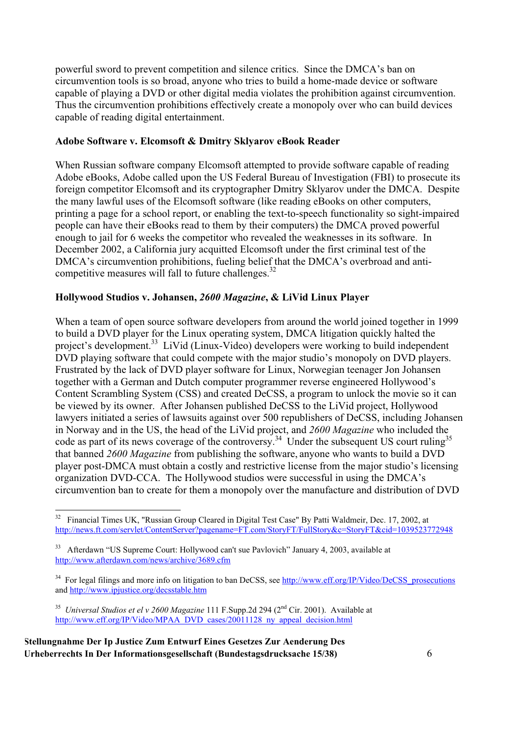powerful sword to prevent competition and silence critics. Since the DMCA's ban on circumvention tools is so broad, anyone who tries to build a home-made device or software capable of playing a DVD or other digital media violates the prohibition against circumvention. Thus the circumvention prohibitions effectively create a monopoly over who can build devices capable of reading digital entertainment.

#### **Adobe Software v. Elcomsoft & Dmitry Sklyarov eBook Reader**

When Russian software company Elcomsoft attempted to provide software capable of reading Adobe eBooks, Adobe called upon the US Federal Bureau of Investigation (FBI) to prosecute its foreign competitor Elcomsoft and its cryptographer Dmitry Sklyarov under the DMCA. Despite the many lawful uses of the Elcomsoft software (like reading eBooks on other computers, printing a page for a school report, or enabling the text-to-speech functionality so sight-impaired people can have their eBooks read to them by their computers) the DMCA proved powerful enough to jail for 6 weeks the competitor who revealed the weaknesses in its software. In December 2002, a California jury acquitted Elcomsoft under the first criminal test of the DMCA's circumvention prohibitions, fueling belief that the DMCA's overbroad and anticompetitive measures will fall to future challenges. $32$ 

#### **Hollywood Studios v. Johansen,** *2600 Magazine***, & LiVid Linux Player**

When a team of open source software developers from around the world joined together in 1999 to build a DVD player for the Linux operating system, DMCA litigation quickly halted the project's development.33 LiVid (Linux-Video) developers were working to build independent DVD playing software that could compete with the major studio's monopoly on DVD players. Frustrated by the lack of DVD player software for Linux, Norwegian teenager Jon Johansen together with a German and Dutch computer programmer reverse engineered Hollywood's Content Scrambling System (CSS) and created DeCSS, a program to unlock the movie so it can be viewed by its owner. After Johansen published DeCSS to the LiVid project, Hollywood lawyers initiated a series of lawsuits against over 500 republishers of DeCSS, including Johansen in Norway and in the US, the head of the LiVid project, and *2600 Magazine* who included the code as part of its news coverage of the controversy.<sup>34</sup> Under the subsequent US court ruling<sup>35</sup> that banned *2600 Magazine* from publishing the software, anyone who wants to build a DVD player post-DMCA must obtain a costly and restrictive license from the major studio's licensing organization DVD-CCA. The Hollywood studios were successful in using the DMCA's circumvention ban to create for them a monopoly over the manufacture and distribution of DVD

<sup>&</sup>lt;sup>32</sup> Financial Times UK, "Russian Group Cleared in Digital Test Case" By Patti Waldmeir, Dec. 17, 2002, at http://news.ft.com/servlet/ContentServer?pagename=FT.com/StoryFT/FullStory&c=StoryFT&cid=1039523772948

<sup>&</sup>lt;sup>33</sup> Afterdawn "US Supreme Court: Hollywood can't sue Pavlovich" January 4, 2003, available at http://www.afterdawn.com/news/archive/3689.cfm

<sup>&</sup>lt;sup>34</sup> For legal filings and more info on litigation to ban DeCSS, see http://www.eff.org/IP/Video/DeCSS\_prosecutions and http://www.ipjustice.org/decsstable.htm

<sup>&</sup>lt;sup>35</sup> *Universal Studios et el v 2600 Magazine* 111 F.Supp.2d 294 (2<sup>nd</sup> Cir. 2001). Available at http://www.eff.org/IP/Video/MPAA\_DVD\_cases/20011128\_ny\_appeal\_decision.html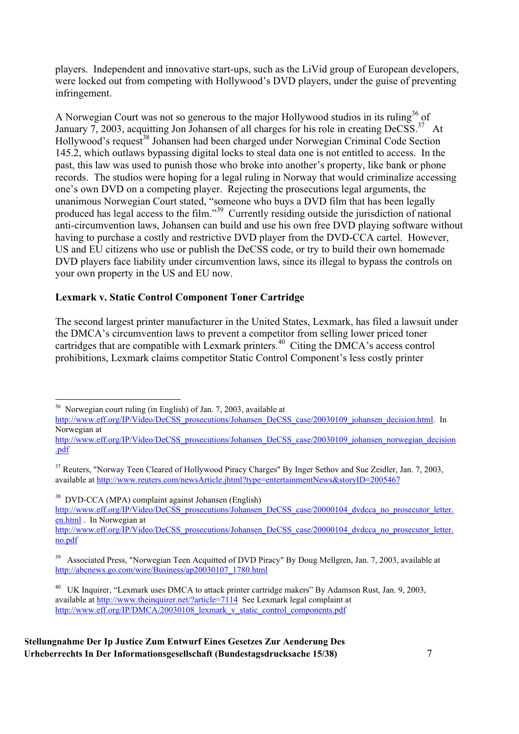players. Independent and innovative start-ups, such as the LiVid group of European developers, were locked out from competing with Hollywood's DVD players, under the guise of preventing infringement.

A Norwegian Court was not so generous to the major Hollywood studios in its ruling  $36$  of January 7, 2003, acquitting Jon Johansen of all charges for his role in creating  $DeCSS$ .<sup>37</sup> At Hollywood's request<sup>38</sup> Johansen had been charged under Norwegian Criminal Code Section 145.2, which outlaws bypassing digital locks to steal data one is not entitled to access. In the past, this law was used to punish those who broke into another's property, like bank or phone records. The studios were hoping for a legal ruling in Norway that would criminalize accessing one's own DVD on a competing player. Rejecting the prosecutions legal arguments, the unanimous Norwegian Court stated, "someone who buys a DVD film that has been legally produced has legal access to the film."<sup>39</sup> Currently residing outside the jurisdiction of national anti-circumvention laws, Johansen can build and use his own free DVD playing software without having to purchase a costly and restrictive DVD player from the DVD-CCA cartel. However, US and EU citizens who use or publish the DeCSS code, or try to build their own homemade DVD players face liability under circumvention laws, since its illegal to bypass the controls on your own property in the US and EU now.

#### **Lexmark v. Static Control Component Toner Cartridge**

The second largest printer manufacturer in the United States, Lexmark, has filed a lawsuit under the DMCA's circumvention laws to prevent a competitor from selling lower priced toner cartridges that are compatible with Lexmark printers.<sup>40</sup> Citing the DMCA's access control prohibitions, Lexmark claims competitor Static Control Component's less costly printer

36 Norwegian court ruling (in English) of Jan. 7, 2003, available at

http://www.eff.org/IP/Video/DeCSS\_prosecutions/Johansen\_DeCSS\_case/20030109\_johansen\_decision.html. In Norwegian at

http://www.eff.org/IP/Video/DeCSS\_prosecutions/Johansen\_DeCSS\_case/20030109\_johansen\_norwegian\_decision .pdf

<sup>37</sup> Reuters, "Norway Teen Cleared of Hollywood Piracy Charges" By Inger Sethov and Sue Zeidler, Jan. 7, 2003, available at http://www.reuters.com/newsArticle.jhtml?type=entertainmentNews&storyID=2005467

38 DVD-CCA (MPA) complaint against Johansen (English)

http://www.eff.org/IP/Video/DeCSS\_prosecutions/Johansen\_DeCSS\_case/20000104\_dvdcca\_no\_prosecutor\_letter. en.html . In Norwegian at

http://www.eff.org/IP/Video/DeCSS\_prosecutions/Johansen\_DeCSS\_case/20000104\_dvdcca\_no\_prosecutor\_letter. no.pdf

<sup>39</sup> Associated Press, "Norwegian Teen Acquitted of DVD Piracy" By Doug Mellgren, Jan. 7, 2003, available at http://abcnews.go.com/wire/Business/ap20030107\_1780.html

<sup>&</sup>lt;sup>40</sup> UK Inquirer, "Lexmark uses DMCA to attack printer cartridge makers" By Adamson Rust, Jan. 9, 2003, available at http://www.theinquirer.net/?article=7114 See Lexmark legal complaint at http://www.eff.org/IP/DMCA/20030108\_lexmark\_v\_static\_control\_components.pdf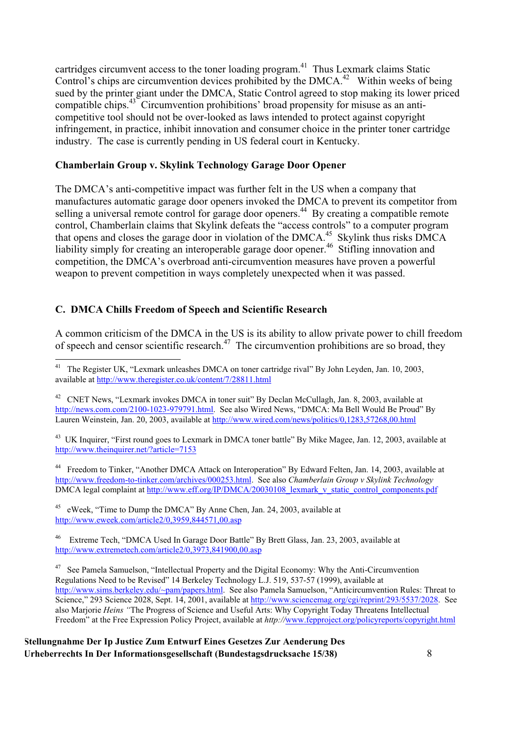cartridges circumvent access to the toner loading program.<sup>41</sup> Thus Lexmark claims Static Control's chips are circumvention devices prohibited by the  $DMCA<sup>42</sup>$  Within weeks of being sued by the printer giant under the DMCA, Static Control agreed to stop making its lower priced compatible chips.<sup>43</sup> Circumvention prohibitions' broad propensity for misuse as an anticompetitive tool should not be over-looked as laws intended to protect against copyright infringement, in practice, inhibit innovation and consumer choice in the printer toner cartridge industry. The case is currently pending in US federal court in Kentucky.

#### **Chamberlain Group v. Skylink Technology Garage Door Opener**

The DMCA's anti-competitive impact was further felt in the US when a company that manufactures automatic garage door openers invoked the DMCA to prevent its competitor from selling a universal remote control for garage door openers.<sup>44</sup> By creating a compatible remote control, Chamberlain claims that Skylink defeats the "access controls" to a computer program that opens and closes the garage door in violation of the DMCA.<sup>45</sup> Skylink thus risks DMCA liability simply for creating an interoperable garage door opener.<sup>46</sup> Stifling innovation and competition, the DMCA's overbroad anti-circumvention measures have proven a powerful weapon to prevent competition in ways completely unexpected when it was passed.

#### **C. DMCA Chills Freedom of Speech and Scientific Research**

A common criticism of the DMCA in the US is its ability to allow private power to chill freedom of speech and censor scientific research.<sup>47</sup> The circumvention prohibitions are so broad, they

<sup>44</sup> Freedom to Tinker, "Another DMCA Attack on Interoperation" By Edward Felten, Jan. 14, 2003, available at http://www.freedom-to-tinker.com/archives/000253.html. See also *Chamberlain Group v Skylink Technology* DMCA legal complaint at http://www.eff.org/IP/DMCA/20030108\_lexmark\_v\_static\_control\_components.pdf

<sup>45</sup> eWeek, "Time to Dump the DMCA" By Anne Chen, Jan. 24, 2003, available at http://www.eweek.com/article2/0,3959,844571,00.asp

46 Extreme Tech, "DMCA Used In Garage Door Battle" By Brett Glass, Jan. 23, 2003, available at http://www.extremetech.com/article2/0,3973,841900,00.asp

<sup>47</sup> See Pamela Samuelson, "Intellectual Property and the Digital Economy: Why the Anti-Circumvention Regulations Need to be Revised" 14 Berkeley Technology L.J. 519, 537-57 (1999), available at http://www.sims.berkeley.edu/~pam/papers.html. See also Pamela Samuelson, "Anticircumvention Rules: Threat to Science," 293 Science 2028, Sept. 14, 2001, available at http://www.sciencemag.org/cgi/reprint/293/5537/2028. See also Marjorie *Heins "*The Progress of Science and Useful Arts: Why Copyright Today Threatens Intellectual Freedom" at the Free Expression Policy Project, available at *http://*www.fepproject.org/policyreports/copyright.html

The Register UK, "Lexmark unleashes DMCA on toner cartridge rival" By John Leyden, Jan. 10, 2003, available at http://www.theregister.co.uk/content/7/28811.html

<sup>&</sup>lt;sup>42</sup> CNET News, "Lexmark invokes DMCA in toner suit" By Declan McCullagh, Jan. 8, 2003, available at http://news.com.com/2100-1023-979791.html. See also Wired News, "DMCA: Ma Bell Would Be Proud" By Lauren Weinstein, Jan. 20, 2003, available at http://www.wired.com/news/politics/0,1283,57268,00.html

<sup>&</sup>lt;sup>43</sup> UK Inquirer, "First round goes to Lexmark in DMCA toner battle" By Mike Magee, Jan. 12, 2003, available at http://www.theinquirer.net/?article=7153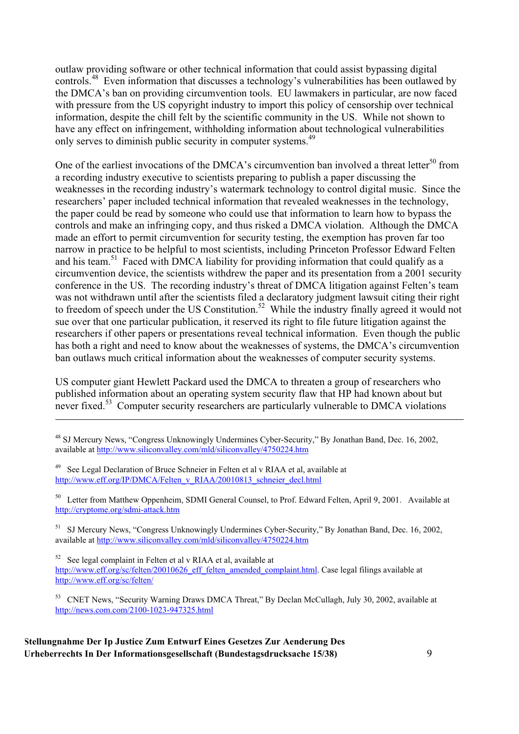outlaw providing software or other technical information that could assist bypassing digital controls.<sup>48</sup> Even information that discusses a technology's vulnerabilities has been outlawed by the DMCA's ban on providing circumvention tools. EU lawmakers in particular, are now faced with pressure from the US copyright industry to import this policy of censorship over technical information, despite the chill felt by the scientific community in the US. While not shown to have any effect on infringement, withholding information about technological vulnerabilities only serves to diminish public security in computer systems.<sup>49</sup>

One of the earliest invocations of the DMCA's circumvention ban involved a threat letter<sup>50</sup> from a recording industry executive to scientists preparing to publish a paper discussing the weaknesses in the recording industry's watermark technology to control digital music. Since the researchers' paper included technical information that revealed weaknesses in the technology, the paper could be read by someone who could use that information to learn how to bypass the controls and make an infringing copy, and thus risked a DMCA violation. Although the DMCA made an effort to permit circumvention for security testing, the exemption has proven far too narrow in practice to be helpful to most scientists, including Princeton Professor Edward Felten and his team.<sup>51</sup> Faced with DMCA liability for providing information that could qualify as a circumvention device, the scientists withdrew the paper and its presentation from a 2001 security conference in the US. The recording industry's threat of DMCA litigation against Felten's team was not withdrawn until after the scientists filed a declaratory judgment lawsuit citing their right to freedom of speech under the US Constitution.<sup>52</sup> While the industry finally agreed it would not sue over that one particular publication, it reserved its right to file future litigation against the researchers if other papers or presentations reveal technical information. Even though the public has both a right and need to know about the weaknesses of systems, the DMCA's circumvention ban outlaws much critical information about the weaknesses of computer security systems.

US computer giant Hewlett Packard used the DMCA to threaten a group of researchers who published information about an operating system security flaw that HP had known about but never fixed.<sup>53</sup> Computer security researchers are particularly vulnerable to DMCA violations

- <sup>48</sup> SJ Mercury News, "Congress Unknowingly Undermines Cyber-Security," By Jonathan Band, Dec. 16, 2002, available at http://www.siliconvalley.com/mld/siliconvalley/4750224.htm
- <sup>49</sup> See Legal Declaration of Bruce Schneier in Felten et al v RIAA et al, available at http://www.eff.org/IP/DMCA/Felten\_v\_RIAA/20010813\_schneier\_decl.html

<u>.</u>

<sup>50</sup> Letter from Matthew Oppenheim, SDMI General Counsel, to Prof. Edward Felten, April 9, 2001. Available at http://cryptome.org/sdmi-attack.htm

<sup>51</sup> SJ Mercury News, "Congress Unknowingly Undermines Cyber-Security," By Jonathan Band, Dec. 16, 2002, available at http://www.siliconvalley.com/mld/siliconvalley/4750224.htm

 $52$  See legal complaint in Felten et al v RIAA et al, available at http://www.eff.org/sc/felten/20010626\_eff\_felten\_amended\_complaint.html. Case legal filings available at http://www.eff.org/sc/felten/

53 CNET News, "Security Warning Draws DMCA Threat," By Declan McCullagh, July 30, 2002, available at http://news.com.com/2100-1023-947325.html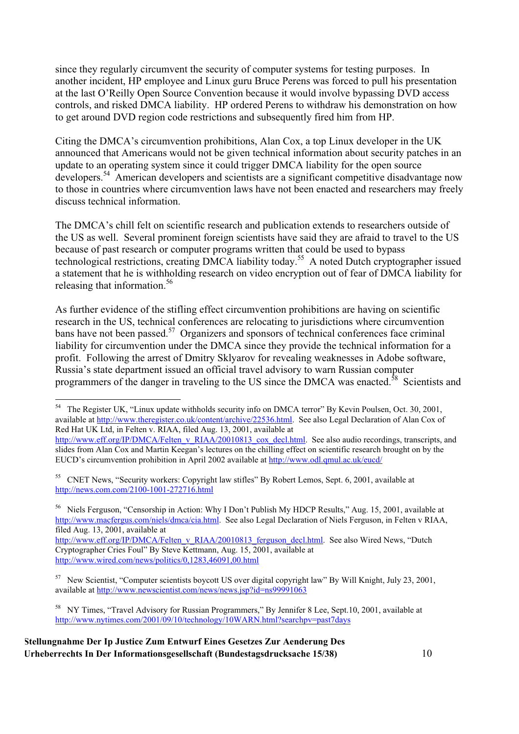since they regularly circumvent the security of computer systems for testing purposes. In another incident, HP employee and Linux guru Bruce Perens was forced to pull his presentation at the last O'Reilly Open Source Convention because it would involve bypassing DVD access controls, and risked DMCA liability. HP ordered Perens to withdraw his demonstration on how to get around DVD region code restrictions and subsequently fired him from HP.

Citing the DMCA's circumvention prohibitions, Alan Cox, a top Linux developer in the UK announced that Americans would not be given technical information about security patches in an update to an operating system since it could trigger DMCA liability for the open source developers.<sup>54</sup> American developers and scientists are a significant competitive disadvantage now to those in countries where circumvention laws have not been enacted and researchers may freely discuss technical information.

The DMCA's chill felt on scientific research and publication extends to researchers outside of the US as well. Several prominent foreign scientists have said they are afraid to travel to the US because of past research or computer programs written that could be used to bypass technological restrictions, creating DMCA liability today.<sup>55</sup> A noted Dutch cryptographer issued a statement that he is withholding research on video encryption out of fear of DMCA liability for releasing that information.<sup>56</sup>

As further evidence of the stifling effect circumvention prohibitions are having on scientific research in the US, technical conferences are relocating to jurisdictions where circumvention bans have not been passed.<sup>57</sup> Organizers and sponsors of technical conferences face criminal liability for circumvention under the DMCA since they provide the technical information for a profit. Following the arrest of Dmitry Sklyarov for revealing weaknesses in Adobe software, Russia's state department issued an official travel advisory to warn Russian computer programmers of the danger in traveling to the US since the DMCA was enacted.<sup>58</sup> Scientists and

<sup>56</sup> Niels Ferguson, "Censorship in Action: Why I Don't Publish My HDCP Results," Aug. 15, 2001, available at http://www.macfergus.com/niels/dmca/cia.html. See also Legal Declaration of Niels Ferguson, in Felten v RIAA, filed Aug. 13, 2001, available at

http://www.eff.org/IP/DMCA/Felten\_v\_RIAA/20010813\_ferguson\_decl.html. See also Wired News, "Dutch Cryptographer Cries Foul" By Steve Kettmann, Aug. 15, 2001, available at http://www.wired.com/news/politics/0,1283,46091,00.html

58 NY Times, "Travel Advisory for Russian Programmers," By Jennifer 8 Lee, Sept.10, 2001, available at http://www.nytimes.com/2001/09/10/technology/10WARN.html?searchpv=past7days

 <sup>54</sup> The Register UK, "Linux update withholds security info on DMCA terror" By Kevin Poulsen, Oct. 30, 2001, available at http://www.theregister.co.uk/content/archive/22536.html. See also Legal Declaration of Alan Cox of Red Hat UK Ltd, in Felten v. RIAA, filed Aug. 13, 2001, available at

http://www.eff.org/IP/DMCA/Felten\_v\_RIAA/20010813\_cox\_decl.html. See also audio recordings, transcripts, and slides from Alan Cox and Martin Keegan's lectures on the chilling effect on scientific research brought on by the EUCD's circumvention prohibition in April 2002 available at http://www.odl.qmul.ac.uk/eucd/

<sup>&</sup>lt;sup>55</sup> CNET News, "Security workers: Copyright law stifles" By Robert Lemos, Sept. 6, 2001, available at http://news.com.com/2100-1001-272716.html

<sup>57</sup> New Scientist, "Computer scientists boycott US over digital copyright law" By Will Knight, July 23, 2001, available at http://www.newscientist.com/news/news.jsp?id=ns99991063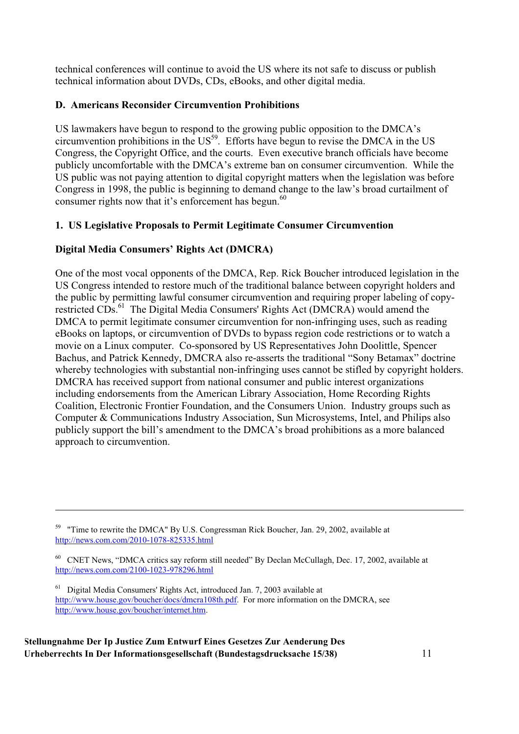technical conferences will continue to avoid the US where its not safe to discuss or publish technical information about DVDs, CDs, eBooks, and other digital media.

#### **D. Americans Reconsider Circumvention Prohibitions**

US lawmakers have begun to respond to the growing public opposition to the DMCA's circumvention prohibitions in the  $US<sup>59</sup>$ . Efforts have begun to revise the DMCA in the US Congress, the Copyright Office, and the courts. Even executive branch officials have become publicly uncomfortable with the DMCA's extreme ban on consumer circumvention. While the US public was not paying attention to digital copyright matters when the legislation was before Congress in 1998, the public is beginning to demand change to the law's broad curtailment of consumer rights now that it's enforcement has begun. $60$ 

#### **1. US Legislative Proposals to Permit Legitimate Consumer Circumvention**

#### **Digital Media Consumers' Rights Act (DMCRA)**

One of the most vocal opponents of the DMCA, Rep. Rick Boucher introduced legislation in the US Congress intended to restore much of the traditional balance between copyright holders and the public by permitting lawful consumer circumvention and requiring proper labeling of copyrestricted CDs.<sup>61</sup> The Digital Media Consumers' Rights Act (DMCRA) would amend the DMCA to permit legitimate consumer circumvention for non-infringing uses, such as reading eBooks on laptops, or circumvention of DVDs to bypass region code restrictions or to watch a movie on a Linux computer. Co-sponsored by US Representatives John Doolittle, Spencer Bachus, and Patrick Kennedy, DMCRA also re-asserts the traditional "Sony Betamax" doctrine whereby technologies with substantial non-infringing uses cannot be stifled by copyright holders. DMCRA has received support from national consumer and public interest organizations including endorsements from the American Library Association, Home Recording Rights Coalition, Electronic Frontier Foundation, and the Consumers Union. Industry groups such as Computer & Communications Industry Association, Sun Microsystems, Intel, and Philips also publicly support the bill's amendment to the DMCA's broad prohibitions as a more balanced approach to circumvention.

**Stellungnahme Der Ip Justice Zum Entwurf Eines Gesetzes Zur Aenderung Des Urheberrechts In Der Informationsgesellschaft (Bundestagsdrucksache 15/38)** 11

-

<sup>&</sup>lt;sup>59</sup> "Time to rewrite the DMCA" By U.S. Congressman Rick Boucher, Jan. 29, 2002, available at http://news.com.com/2010-1078-825335.html

<sup>60</sup> CNET News, "DMCA critics say reform still needed" By Declan McCullagh, Dec. 17, 2002, available at http://news.com.com/2100-1023-978296.html

 $61$  Digital Media Consumers' Rights Act, introduced Jan. 7, 2003 available at http://www.house.gov/boucher/docs/dmcra108th.pdf. For more information on the DMCRA, see http://www.house.gov/boucher/internet.htm.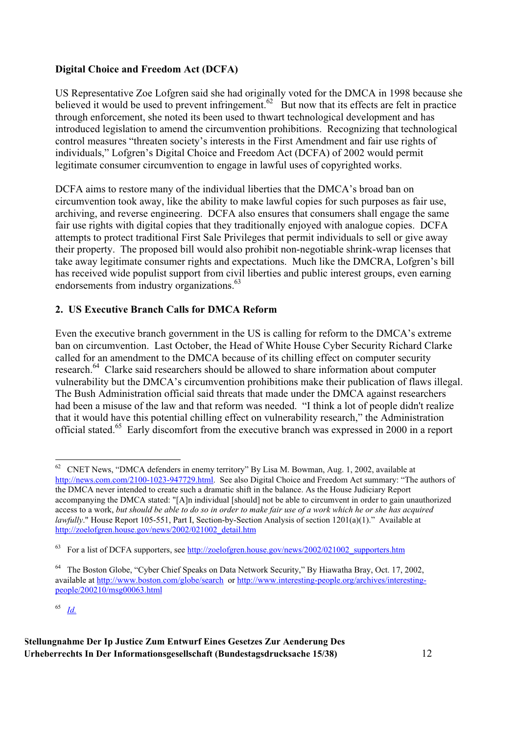#### **Digital Choice and Freedom Act (DCFA)**

US Representative Zoe Lofgren said she had originally voted for the DMCA in 1998 because she believed it would be used to prevent infringement.<sup>62</sup> But now that its effects are felt in practice through enforcement, she noted its been used to thwart technological development and has introduced legislation to amend the circumvention prohibitions. Recognizing that technological control measures "threaten society's interests in the First Amendment and fair use rights of individuals," Lofgren's Digital Choice and Freedom Act (DCFA) of 2002 would permit legitimate consumer circumvention to engage in lawful uses of copyrighted works.

DCFA aims to restore many of the individual liberties that the DMCA's broad ban on circumvention took away, like the ability to make lawful copies for such purposes as fair use, archiving, and reverse engineering. DCFA also ensures that consumers shall engage the same fair use rights with digital copies that they traditionally enjoyed with analogue copies. DCFA attempts to protect traditional First Sale Privileges that permit individuals to sell or give away their property. The proposed bill would also prohibit non-negotiable shrink-wrap licenses that take away legitimate consumer rights and expectations. Much like the DMCRA, Lofgren's bill has received wide populist support from civil liberties and public interest groups, even earning endorsements from industry organizations.<sup>63</sup>

#### **2. US Executive Branch Calls for DMCA Reform**

Even the executive branch government in the US is calling for reform to the DMCA's extreme ban on circumvention. Last October, the Head of White House Cyber Security Richard Clarke called for an amendment to the DMCA because of its chilling effect on computer security research.<sup>64</sup> Clarke said researchers should be allowed to share information about computer vulnerability but the DMCA's circumvention prohibitions make their publication of flaws illegal. The Bush Administration official said threats that made under the DMCA against researchers had been a misuse of the law and that reform was needed. "I think a lot of people didn't realize that it would have this potential chilling effect on vulnerability research," the Administration official stated.<sup>65</sup> Early discomfort from the executive branch was expressed in 2000 in a report

65 *Id.*

 $62$  CNET News, "DMCA defenders in enemy territory" By Lisa M. Bowman, Aug. 1, 2002, available at http://news.com.com/2100-1023-947729.html. See also Digital Choice and Freedom Act summary: "The authors of the DMCA never intended to create such a dramatic shift in the balance. As the House Judiciary Report accompanying the DMCA stated: "[A]n individual [should] not be able to circumvent in order to gain unauthorized access to a work, *but should be able to do so in order to make fair use of a work which he or she has acquired lawfully*." House Report 105-551, Part I, Section-by-Section Analysis of section 1201(a)(1)." Available at http://zoelofgren.house.gov/news/2002/021002\_detail.htm

For a list of DCFA supporters, see http://zoelofgren.house.gov/news/2002/021002\_supporters.htm

<sup>&</sup>lt;sup>64</sup> The Boston Globe, "Cyber Chief Speaks on Data Network Security," By Hiawatha Bray, Oct. 17, 2002, available at http://www.boston.com/globe/search or http://www.interesting-people.org/archives/interestingpeople/200210/msg00063.html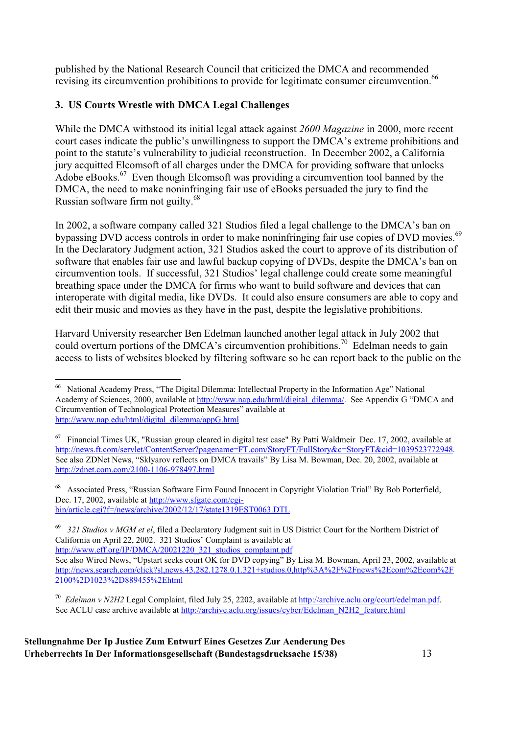published by the National Research Council that criticized the DMCA and recommended revising its circumvention prohibitions to provide for legitimate consumer circumvention.<sup>66</sup>

#### **3. US Courts Wrestle with DMCA Legal Challenges**

While the DMCA withstood its initial legal attack against *2600 Magazine* in 2000, more recent court cases indicate the public's unwillingness to support the DMCA's extreme prohibitions and point to the statute's vulnerability to judicial reconstruction. In December 2002, a California jury acquitted Elcomsoft of all charges under the DMCA for providing software that unlocks Adobe eBooks.<sup>67</sup> Even though Elcomsoft was providing a circumvention tool banned by the DMCA, the need to make noninfringing fair use of eBooks persuaded the jury to find the Russian software firm not guilty.<sup>68</sup>

In 2002, a software company called 321 Studios filed a legal challenge to the DMCA's ban on bypassing DVD access controls in order to make noninfringing fair use copies of DVD movies.<sup>69</sup> In the Declaratory Judgment action, 321 Studios asked the court to approve of its distribution of software that enables fair use and lawful backup copying of DVDs, despite the DMCA's ban on circumvention tools. If successful, 321 Studios' legal challenge could create some meaningful breathing space under the DMCA for firms who want to build software and devices that can interoperate with digital media, like DVDs. It could also ensure consumers are able to copy and edit their music and movies as they have in the past, despite the legislative prohibitions.

Harvard University researcher Ben Edelman launched another legal attack in July 2002 that could overturn portions of the DMCA's circumvention prohibitions.<sup>70</sup> Edelman needs to gain access to lists of websites blocked by filtering software so he can report back to the public on the

 <sup>66</sup> National Academy Press, "The Digital Dilemma: Intellectual Property in the Information Age" National Academy of Sciences, 2000, available at http://www.nap.edu/html/digital\_dilemma/. See Appendix G "DMCA and Circumvention of Technological Protection Measures" available at http://www.nap.edu/html/digital\_dilemma/appG.html

 $67$  Financial Times UK, "Russian group cleared in digital test case" By Patti Waldmeir Dec. 17, 2002, available at http://news.ft.com/servlet/ContentServer?pagename=FT.com/StoryFT/FullStory&c=StoryFT&cid=1039523772948. See also ZDNet News, "Sklyarov reflects on DMCA travails" By Lisa M. Bowman, Dec. 20, 2002, available at http://zdnet.com.com/2100-1106-978497.html

<sup>&</sup>lt;sup>68</sup> Associated Press, "Russian Software Firm Found Innocent in Copyright Violation Trial" By Bob Porterfield, Dec. 17, 2002, available at http://www.sfgate.com/cgibin/article.cgi?f=/news/archive/2002/12/17/state1319EST0063.DTL

<sup>69</sup> *321 Studios v MGM et el*, filed a Declaratory Judgment suit in US District Court for the Northern District of California on April 22, 2002. 321 Studios' Complaint is available at http://www.eff.org/IP/DMCA/20021220\_321\_studios\_complaint.pdf

See also Wired News, "Upstart seeks court OK for DVD copying" By Lisa M. Bowman, April 23, 2002, available at http://news.search.com/click?sl,news.43.282.1278.0.1.321+studios.0,http%3A%2F%2Fnews%2Ecom%2Ecom%2F 2100%2D1023%2D889455%2Ehtml

<sup>70</sup> *Edelman v N2H2* Legal Complaint, filed July 25, 2202, available at http://archive.aclu.org/court/edelman.pdf. See ACLU case archive available at http://archive.aclu.org/issues/cyber/Edelman\_N2H2\_feature.html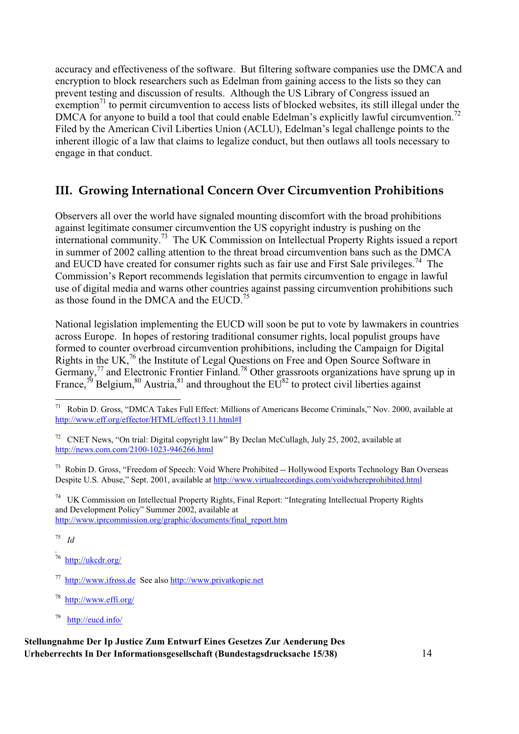accuracy and effectiveness of the software. But filtering software companies use the DMCA and encryption to block researchers such as Edelman from gaining access to the lists so they can prevent testing and discussion of results. Although the US Library of Congress issued an exemption<sup>71</sup> to permit circumvention to access lists of blocked websites, its still illegal under the DMCA for anyone to build a tool that could enable Edelman's explicitly lawful circumvention.<sup>72</sup> Filed by the American Civil Liberties Union (ACLU), Edelman's legal challenge points to the inherent illogic of a law that claims to legalize conduct, but then outlaws all tools necessary to engage in that conduct.

## **III. Growing International Concern Over Circumvention Prohibitions**

Observers all over the world have signaled mounting discomfort with the broad prohibitions against legitimate consumer circumvention the US copyright industry is pushing on the international community.73 The UK Commission on Intellectual Property Rights issued a report in summer of 2002 calling attention to the threat broad circumvention bans such as the DMCA and EUCD have created for consumer rights such as fair use and First Sale privileges.<sup>74</sup> The Commission's Report recommends legislation that permits circumvention to engage in lawful use of digital media and warns other countries against passing circumvention prohibitions such as those found in the DMCA and the EUCD.<sup>75</sup>

National legislation implementing the EUCD will soon be put to vote by lawmakers in countries across Europe. In hopes of restoring traditional consumer rights, local populist groups have formed to counter overbroad circumvention prohibitions, including the Campaign for Digital Rights in the UK,<sup>76</sup> the Institute of Legal Questions on Free and Open Source Software in Germany, $^{77}$  and Electronic Frontier Finland.<sup>78</sup> Other grassroots organizations have sprung up in France,<sup>79</sup> Belgium,<sup>80</sup> Austria,<sup>81</sup> and throughout the  $EU^{82}$  to protect civil liberties against

<sup>73</sup> Robin D. Gross, "Freedom of Speech: Void Where Prohibited -- Hollywood Exports Technology Ban Overseas Despite U.S. Abuse," Sept. 2001, available at http://www.virtualrecordings.com/voidwhereprohibited.html

74 UK Commission on Intellectual Property Rights, Final Report: "Integrating Intellectual Property Rights and Development Policy" Summer 2002, available at http://www.iprcommission.org/graphic/documents/final\_report.htm

75 *Id*

- *.* http://ukcdr.org/
- 77 http://www.ifross.de See also http://www.privatkopie.net
- 78 http://www.effi.org/
- 79 http://eucd.info/

 <sup>71</sup> Robin D. Gross, "DMCA Takes Full Effect: Millions of Americans Become Criminals," Nov. 2000, available at http://www.eff.org/effector/HTML/effect13.11.html#I

<sup>&</sup>lt;sup>72</sup> CNET News, "On trial: Digital copyright law" By Declan McCullagh, July 25, 2002, available at http://news.com.com/2100-1023-946266.html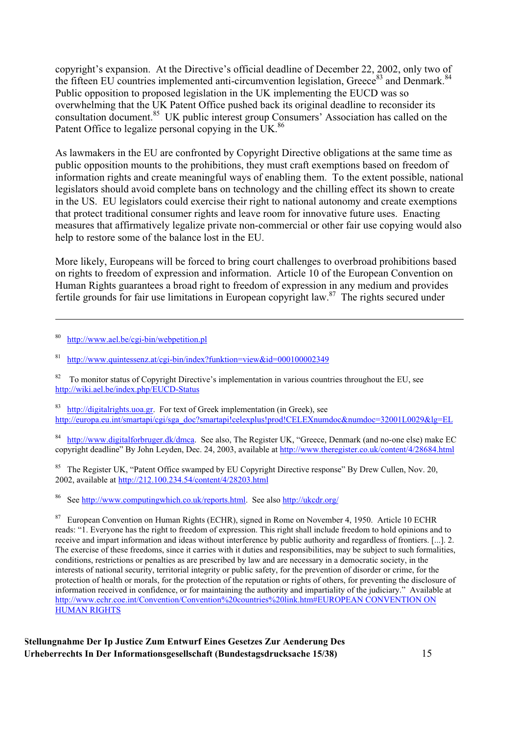copyright's expansion. At the Directive's official deadline of December 22, 2002, only two of the fifteen EU countries implemented anti-circumvention legislation, Greece<sup>83</sup> and Denmark.<sup>84</sup> Public opposition to proposed legislation in the UK implementing the EUCD was so overwhelming that the UK Patent Office pushed back its original deadline to reconsider its consultation document.<sup>85</sup> UK public interest group Consumers' Association has called on the Patent Office to legalize personal copying in the UK.<sup>86</sup>

As lawmakers in the EU are confronted by Copyright Directive obligations at the same time as public opposition mounts to the prohibitions, they must craft exemptions based on freedom of information rights and create meaningful ways of enabling them. To the extent possible, national legislators should avoid complete bans on technology and the chilling effect its shown to create in the US. EU legislators could exercise their right to national autonomy and create exemptions that protect traditional consumer rights and leave room for innovative future uses. Enacting measures that affirmatively legalize private non-commercial or other fair use copying would also help to restore some of the balance lost in the EU.

More likely, Europeans will be forced to bring court challenges to overbroad prohibitions based on rights to freedom of expression and information. Article 10 of the European Convention on Human Rights guarantees a broad right to freedom of expression in any medium and provides fertile grounds for fair use limitations in European copyright law.<sup>87</sup> The rights secured under

80 http://www.ael.be/cgi-bin/webpetition.pl

-

81 http://www.quintessenz.at/cgi-bin/index?funktion=view&id=000100002349

 $82$  To monitor status of Copyright Directive's implementation in various countries throughout the EU, see http://wiki.ael.be/index.php/EUCD-Status

 $83$  http://digitalrights.uoa.gr. For text of Greek implementation (in Greek), see http://europa.eu.int/smartapi/cgi/sga\_doc?smartapi!celexplus!prod!CELEXnumdoc&numdoc=32001L0029&lg=EL

<sup>84</sup> http://www.digitalforbruger.dk/dmca. See also, The Register UK, "Greece, Denmark (and no-one else) make EC copyright deadline" By John Leyden, Dec. 24, 2003, available at http://www.theregister.co.uk/content/4/28684.html

<sup>85</sup> The Register UK, "Patent Office swamped by EU Copyright Directive response" By Drew Cullen, Nov. 20, 2002, available at http://212.100.234.54/content/4/28203.html

86 See http://www.computingwhich.co.uk/reports.html. See also http://ukcdr.org/

<sup>87</sup> European Convention on Human Rights (ECHR), signed in Rome on November 4, 1950. Article 10 ECHR reads: "1. Everyone has the right to freedom of expression. This right shall include freedom to hold opinions and to receive and impart information and ideas without interference by public authority and regardless of frontiers. [...]. 2. The exercise of these freedoms, since it carries with it duties and responsibilities, may be subject to such formalities, conditions, restrictions or penalties as are prescribed by law and are necessary in a democratic society, in the interests of national security, territorial integrity or public safety, for the prevention of disorder or crime, for the protection of health or morals, for the protection of the reputation or rights of others, for preventing the disclosure of information received in confidence, or for maintaining the authority and impartiality of the judiciary." Available at http://www.echr.coe.int/Convention/Convention%20countries%20link.htm#EUROPEAN CONVENTION ON HUMAN RIGHTS